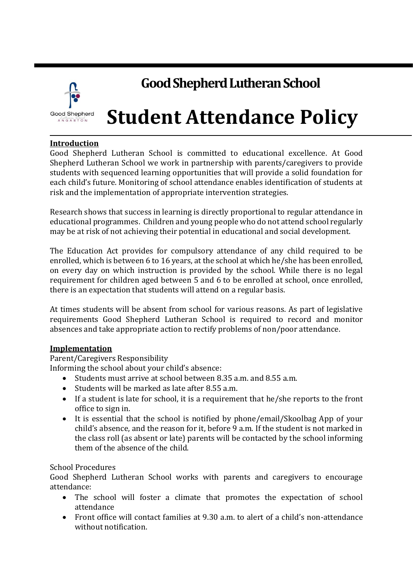

# **Good Shepherd Lutheran School**

# **Student Attendance Policy**

## **Introduction**

Good Shepherd Lutheran School is committed to educational excellence. At Good Shepherd Lutheran School we work in partnership with parents/caregivers to provide students with sequenced learning opportunities that will provide a solid foundation for each child's future. Monitoring of school attendance enables identification of students at risk and the implementation of appropriate intervention strategies.

Research shows that success in learning is directly proportional to regular attendance in educational programmes. Children and young people who do not attend school regularly may be at risk of not achieving their potential in educational and social development.

The Education Act provides for compulsory attendance of any child required to be enrolled, which is between 6 to 16 years, at the school at which he/she has been enrolled, on every day on which instruction is provided by the school. While there is no legal requirement for children aged between 5 and 6 to be enrolled at school, once enrolled, there is an expectation that students will attend on a regular basis.

At times students will be absent from school for various reasons. As part of legislative requirements Good Shepherd Lutheran School is required to record and monitor absences and take appropriate action to rectify problems of non/poor attendance.

#### **Implementation**

Parent/Caregivers Responsibility

Informing the school about your child's absence:

- Students must arrive at school between 8.35 a.m. and 8.55 a.m.
- Students will be marked as late after 8.55 a.m.
- If a student is late for school, it is a requirement that he/she reports to the front office to sign in.
- It is essential that the school is notified by phone/email/Skoolbag App of your child's absence, and the reason for it, before 9 a.m. If the student is not marked in the class roll (as absent or late) parents will be contacted by the school informing them of the absence of the child.

#### School Procedures

Good Shepherd Lutheran School works with parents and caregivers to encourage attendance:

- The school will foster a climate that promotes the expectation of school attendance
- Front office will contact families at 9.30 a.m. to alert of a child's non-attendance without notification.